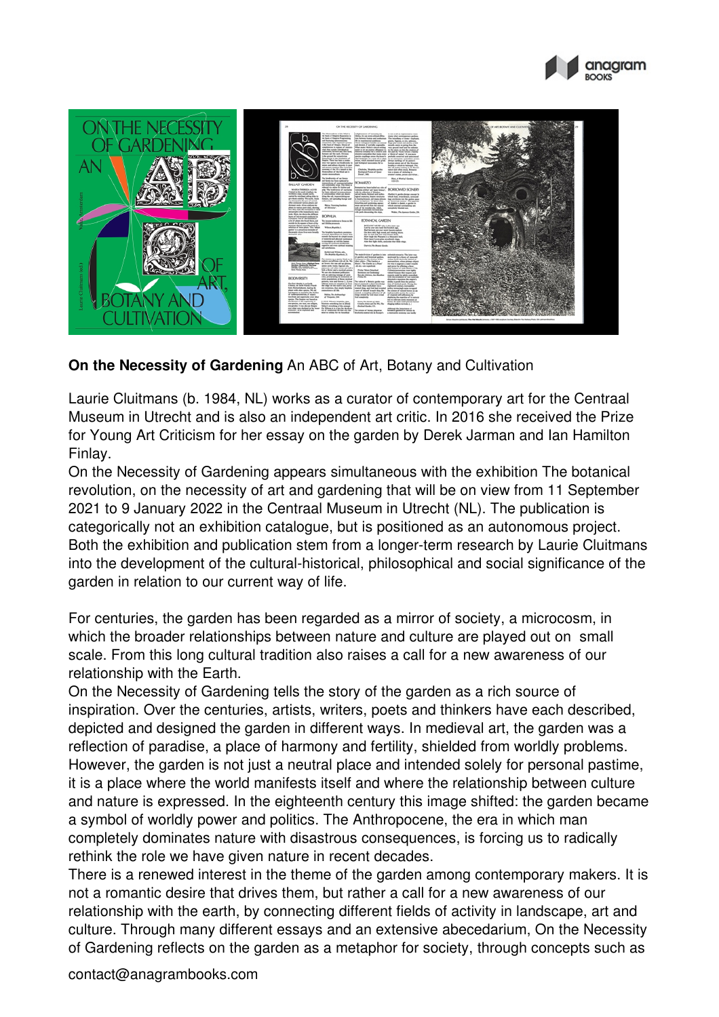



## **On the Necessity of Gardening** An ABC of Art, Botany and Cultivation

Laurie Cluitmans (b. 1984, NL) works as a curator of contemporary art for the Centraal Museum in Utrecht and is also an independent art critic. In 2016 she received the Prize for Young Art Criticism for her essay on the garden by Derek Jarman and Ian Hamilton Finlay.

On the Necessity of Gardening appears simultaneous with the exhibition The botanical revolution, on the necessity of art and gardening that will be on view from 11 September 2021 to 9 January 2022 in the Centraal Museum in Utrecht (NL). The publication is categorically not an exhibition catalogue, but is positioned as an autonomous project. Both the exhibition and publication stem from a longer-term research by Laurie Cluitmans into the development of the cultural-historical, philosophical and social significance of the garden in relation to our current way of life.

For centuries, the garden has been regarded as a mirror of society, a microcosm, in which the broader relationships between nature and culture are played out on small scale. From this long cultural tradition also raises a call for a new awareness of our relationship with the Earth.

On the Necessity of Gardening tells the story of the garden as a rich source of inspiration. Over the centuries, artists, writers, poets and thinkers have each described, depicted and designed the garden in different ways. In medieval art, the garden was a reflection of paradise, a place of harmony and fertility, shielded from worldly problems. However, the garden is not just a neutral place and intended solely for personal pastime, it is a place where the world manifests itself and where the relationship between culture and nature is expressed. In the eighteenth century this image shifted: the garden became a symbol of worldly power and politics. The Anthropocene, the era in which man completely dominates nature with disastrous consequences, is forcing us to radically rethink the role we have given nature in recent decades.

There is a renewed interest in the theme of the garden among contemporary makers. It is not a romantic desire that drives them, but rather a call for a new awareness of our relationship with the earth, by connecting different fields of activity in landscape, art and culture. Through many different essays and an extensive abecedarium, On the Necessity of Gardening reflects on the garden as a metaphor for society, through concepts such as